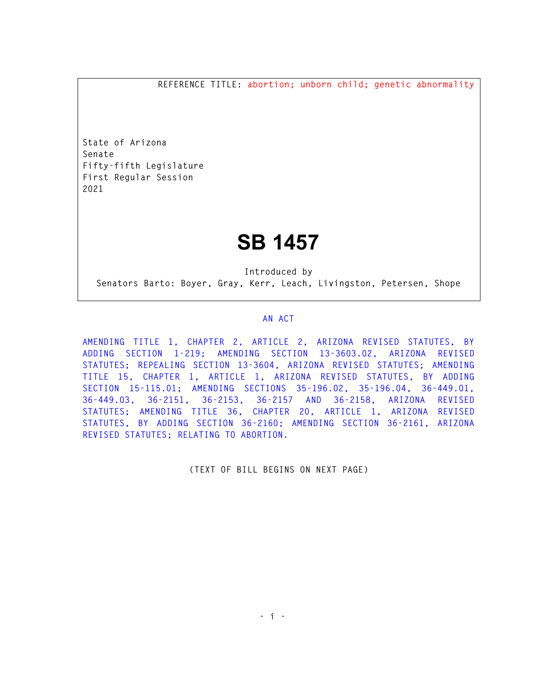**REFERENCE TITLE: abortion; unborn child; genetic abnormality** 

**State of Arizona Senate Fifty-fifth Legislature First Regular Session 2021** 

## **SB 1457**

**Introduced by Senators Barto: Boyer, Gray, Kerr, Leach, Livingston, Petersen, Shope** 

## **AN ACT**

**AMENDING TITLE 1, CHAPTER 2, ARTICLE 2, ARIZONA REVISED STATUTES, BY ADDING SECTION 1-219; AMENDING SECTION 13-3603.02, ARIZONA REVISED STATUTES; REPEALING SECTION 13-3604, ARIZONA REVISED STATUTES; AMENDING TITLE 15, CHAPTER 1, ARTICLE 1, ARIZONA REVISED STATUTES, BY ADDING SECTION 15-115.01; AMENDING SECTIONS 35-196.02, 35-196.04, 36-449.01, 36-449.03, 36-2151, 36-2153, 36-2157 AND 36-2158, ARIZONA REVISED STATUTES; AMENDING TITLE 36, CHAPTER 20, ARTICLE 1, ARIZONA REVISED STATUTES, BY ADDING SECTION 36-2160; AMENDING SECTION 36-2161, ARIZONA REVISED STATUTES; RELATING TO ABORTION.** 

**(TEXT OF BILL BEGINS ON NEXT PAGE)**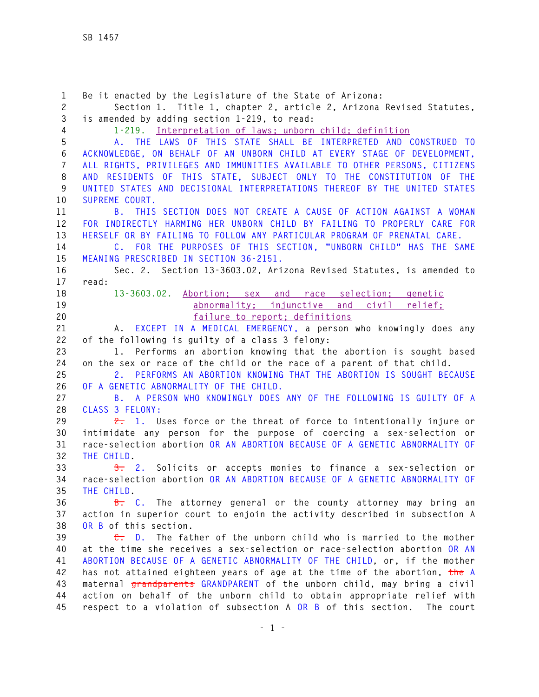**1 Be it enacted by the Legislature of the State of Arizona: 2 Section 1. Title 1, chapter 2, article 2, Arizona Revised Statutes, 3 is amended by adding section 1-219, to read: 4 1-219. Interpretation of laws; unborn child; definition 5 A. THE LAWS OF THIS STATE SHALL BE INTERPRETED AND CONSTRUED TO 6 ACKNOWLEDGE, ON BEHALF OF AN UNBORN CHILD AT EVERY STAGE OF DEVELOPMENT, 7 ALL RIGHTS, PRIVILEGES AND IMMUNITIES AVAILABLE TO OTHER PERSONS, CITIZENS 8 AND RESIDENTS OF THIS STATE, SUBJECT ONLY TO THE CONSTITUTION OF THE 9 UNITED STATES AND DECISIONAL INTERPRETATIONS THEREOF BY THE UNITED STATES 10 SUPREME COURT. 11 B. THIS SECTION DOES NOT CREATE A CAUSE OF ACTION AGAINST A WOMAN 12 FOR INDIRECTLY HARMING HER UNBORN CHILD BY FAILING TO PROPERLY CARE FOR 13 HERSELF OR BY FAILING TO FOLLOW ANY PARTICULAR PROGRAM OF PRENATAL CARE. 14 C. FOR THE PURPOSES OF THIS SECTION, "UNBORN CHILD" HAS THE SAME 15 MEANING PRESCRIBED IN SECTION 36-2151. 16 Sec. 2. Section 13-3603.02, Arizona Revised Statutes, is amended to 17 read: 18 13-3603.02. Abortion; sex and race selection; genetic 19 abnormality; injunctive and civil relief; 20 failure to report; definitions 21 A. EXCEPT IN A MEDICAL EMERGENCY, a person who knowingly does any 22 of the following is guilty of a class 3 felony: 23 1. Performs an abortion knowing that the abortion is sought based 24 on the sex or race of the child or the race of a parent of that child. 25 2. PERFORMS AN ABORTION KNOWING THAT THE ABORTION IS SOUGHT BECAUSE 26 OF A GENETIC ABNORMALITY OF THE CHILD. 27 B. A PERSON WHO KNOWINGLY DOES ANY OF THE FOLLOWING IS GUILTY OF A 28 CLASS 3 FELONY: 29 2. 1. Uses force or the threat of force to intentionally injure or 30 intimidate any person for the purpose of coercing a sex-selection or 31 race-selection abortion OR AN ABORTION BECAUSE OF A GENETIC ABNORMALITY OF 32 THE CHILD. 33 3. 2. Solicits or accepts monies to finance a sex-selection or 34 race-selection abortion OR AN ABORTION BECAUSE OF A GENETIC ABNORMALITY OF 35 THE CHILD. 36 B. C. The attorney general or the county attorney may bring an 37 action in superior court to enjoin the activity described in subsection A 38 OR B of this section. 39 C. D. The father of the unborn child who is married to the mother 40 at the time she receives a sex-selection or race-selection abortion OR AN 41 ABORTION BECAUSE OF A GENETIC ABNORMALITY OF THE CHILD, or, if the mother 42 has not attained eighteen years of age at the time of the abortion, the A 43 maternal grandparents GRANDPARENT of the unborn child, may bring a civil 44 action on behalf of the unborn child to obtain appropriate relief with 45 respect to a violation of subsection A OR B of this section. The court**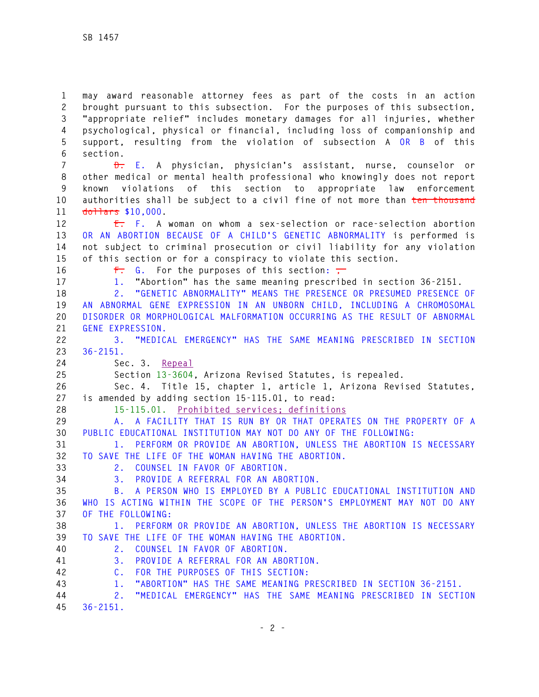**1 may award reasonable attorney fees as part of the costs in an action 2 brought pursuant to this subsection. For the purposes of this subsection, 3 "appropriate relief" includes monetary damages for all injuries, whether 4 psychological, physical or financial, including loss of companionship and 5 support, resulting from the violation of subsection A OR B of this 6 section.** 

**7 D. E. A physician, physician's assistant, nurse, counselor or 8 other medical or mental health professional who knowingly does not report 9 known violations of this section to appropriate law enforcement 10 authorities shall be subject to a civil fine of not more than ten thousand 11 dollars \$10,000.** 

**12 E. F. A woman on whom a sex-selection or race-selection abortion 13 OR AN ABORTION BECAUSE OF A CHILD'S GENETIC ABNORMALITY is performed is 14 not subject to criminal prosecution or civil liability for any violation 15 of this section or for a conspiracy to violate this section.** 

16 **F.** G. For the purposes of this section:

**17 1. "Abortion" has the same meaning prescribed in section 36-2151.** 

**18 2. "GENETIC ABNORMALITY" MEANS THE PRESENCE OR PRESUMED PRESENCE OF 19 AN ABNORMAL GENE EXPRESSION IN AN UNBORN CHILD, INCLUDING A CHROMOSOMAL 20 DISORDER OR MORPHOLOGICAL MALFORMATION OCCURRING AS THE RESULT OF ABNORMAL 21 GENE EXPRESSION.** 

**22 3. "MEDICAL EMERGENCY" HAS THE SAME MEANING PRESCRIBED IN SECTION 23 36-2151.**

**24 Sec. 3. Repeal**

**25 Section 13-3604, Arizona Revised Statutes, is repealed.** 

**26 Sec. 4. Title 15, chapter 1, article 1, Arizona Revised Statutes, 27 is amended by adding section 15-115.01, to read:** 

**28 15-115.01. Prohibited services; definitions** 

**29 A. A FACILITY THAT IS RUN BY OR THAT OPERATES ON THE PROPERTY OF A 30 PUBLIC EDUCATIONAL INSTITUTION MAY NOT DO ANY OF THE FOLLOWING:** 

**31 1. PERFORM OR PROVIDE AN ABORTION, UNLESS THE ABORTION IS NECESSARY 32 TO SAVE THE LIFE OF THE WOMAN HAVING THE ABORTION.** 

- **33 2. COUNSEL IN FAVOR OF ABORTION.**
- 

**34 3. PROVIDE A REFERRAL FOR AN ABORTION.** 

**35 B. A PERSON WHO IS EMPLOYED BY A PUBLIC EDUCATIONAL INSTITUTION AND 36 WHO IS ACTING WITHIN THE SCOPE OF THE PERSON'S EMPLOYMENT MAY NOT DO ANY 37 OF THE FOLLOWING:** 

**38 1. PERFORM OR PROVIDE AN ABORTION, UNLESS THE ABORTION IS NECESSARY 39 TO SAVE THE LIFE OF THE WOMAN HAVING THE ABORTION.** 

**40 2. COUNSEL IN FAVOR OF ABORTION.** 

**41 3. PROVIDE A REFERRAL FOR AN ABORTION.** 

- **42 C. FOR THE PURPOSES OF THIS SECTION:**
- **43 1. "ABORTION" HAS THE SAME MEANING PRESCRIBED IN SECTION 36-2151.**

**44 2. "MEDICAL EMERGENCY" HAS THE SAME MEANING PRESCRIBED IN SECTION 45 36-2151.**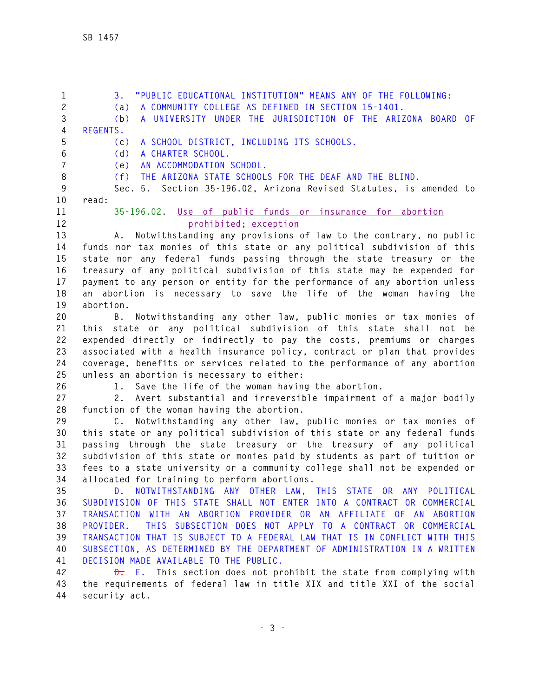**1 3. "PUBLIC EDUCATIONAL INSTITUTION" MEANS ANY OF THE FOLLOWING: 2 (a) A COMMUNITY COLLEGE AS DEFINED IN SECTION 15-1401. 3 (b) A UNIVERSITY UNDER THE JURISDICTION OF THE ARIZONA BOARD OF 4 REGENTS. 5 (c) A SCHOOL DISTRICT, INCLUDING ITS SCHOOLS. 6 (d) A CHARTER SCHOOL. 7 (e) AN ACCOMMODATION SCHOOL. 8 (f) THE ARIZONA STATE SCHOOLS FOR THE DEAF AND THE BLIND. 9 Sec. 5. Section 35-196.02, Arizona Revised Statutes, is amended to 10 read: 11 35-196.02. Use of public funds or insurance for abortion 12 prohibited; exception 13 A. Notwithstanding any provisions of law to the contrary, no public 14 funds nor tax monies of this state or any political subdivision of this 15 state nor any federal funds passing through the state treasury or the 16 treasury of any political subdivision of this state may be expended for 17 payment to any person or entity for the performance of any abortion unless 18 an abortion is necessary to save the life of the woman having the 19 abortion. 20 B. Notwithstanding any other law, public monies or tax monies of 21 this state or any political subdivision of this state shall not be 22 expended directly or indirectly to pay the costs, premiums or charges 23 associated with a health insurance policy, contract or plan that provides 24 coverage, benefits or services related to the performance of any abortion 25 unless an abortion is necessary to either: 26 1. Save the life of the woman having the abortion. 27 2. Avert substantial and irreversible impairment of a major bodily 28 function of the woman having the abortion. 29 C. Notwithstanding any other law, public monies or tax monies of 30 this state or any political subdivision of this state or any federal funds 31 passing through the state treasury or the treasury of any political 32 subdivision of this state or monies paid by students as part of tuition or 33 fees to a state university or a community college shall not be expended or 34 allocated for training to perform abortions. 35 D. NOTWITHSTANDING ANY OTHER LAW, THIS STATE OR ANY POLITICAL 36 SUBDIVISION OF THIS STATE SHALL NOT ENTER INTO A CONTRACT OR COMMERCIAL 37 TRANSACTION WITH AN ABORTION PROVIDER OR AN AFFILIATE OF AN ABORTION 38 PROVIDER. THIS SUBSECTION DOES NOT APPLY TO A CONTRACT OR COMMERCIAL 39 TRANSACTION THAT IS SUBJECT TO A FEDERAL LAW THAT IS IN CONFLICT WITH THIS 40 SUBSECTION, AS DETERMINED BY THE DEPARTMENT OF ADMINISTRATION IN A WRITTEN 41 DECISION MADE AVAILABLE TO THE PUBLIC.** 

**42 D. E. This section does not prohibit the state from complying with 43 the requirements of federal law in title XIX and title XXI of the social 44 security act.**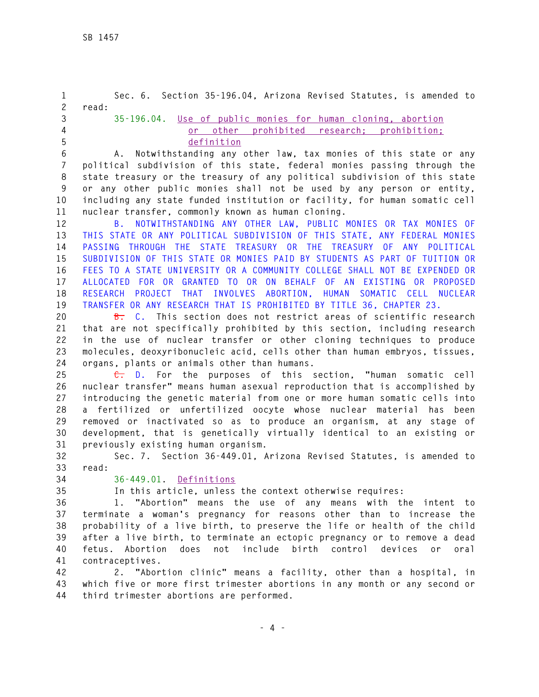| $\mathbf{1}$     | Sec. 6. Section 35-196.04, Arizona Revised Statutes, is amended to                                                                        |
|------------------|-------------------------------------------------------------------------------------------------------------------------------------------|
| $\mathbf{2}$     | read:                                                                                                                                     |
| 3<br>$\pmb{4}$   | 35-196.04. Use of public monies for human cloning, abortion                                                                               |
| 5                | other prohibited research; prohibition;<br>or<br>definition                                                                               |
| $\boldsymbol{6}$ | A.                                                                                                                                        |
| $\overline{7}$   | Notwithstanding any other law, tax monies of this state or any<br>political subdivision of this state, federal monies passing through the |
| 8                | state treasury or the treasury of any political subdivision of this state                                                                 |
| 9                | or any other public monies shall not be used by any person or entity,                                                                     |
| 10               | including any state funded institution or facility, for human somatic cell                                                                |
| 11               | nuclear transfer, commonly known as human cloning.                                                                                        |
| 12               | B. NOTWITHSTANDING ANY OTHER LAW, PUBLIC MONIES OR TAX MONIES OF                                                                          |
| 13               | THIS STATE OR ANY POLITICAL SUBDIVISION OF THIS STATE, ANY FEDERAL MONIES                                                                 |
| 14               | PASSING THROUGH THE STATE TREASURY OR THE TREASURY OF ANY<br>POLITICAL                                                                    |
| 15               | SUBDIVISION OF THIS STATE OR MONIES PAID BY STUDENTS AS PART OF TUITION OR                                                                |
| 16               | FEES TO A STATE UNIVERSITY OR A COMMUNITY COLLEGE SHALL NOT BE EXPENDED OR                                                                |
| 17               | ALLOCATED FOR OR GRANTED TO OR ON BEHALF OF AN EXISTING OR PROPOSED                                                                       |
| 18               | THAT INVOLVES ABORTION, HUMAN<br><b>RESEARCH</b><br>PROJECT<br>SOMATIC CELL NUCLEAR                                                       |
| 19               | TRANSFER OR ANY RESEARCH THAT IS PROHIBITED BY TITLE 36, CHAPTER 23.                                                                      |
| 20               | B. C. This section does not restrict areas of scientific research                                                                         |
| 21               | that are not specifically prohibited by this section, including research                                                                  |
| 22               | in the use of nuclear transfer or other cloning techniques to produce                                                                     |
| 23               | molecules, deoxyribonucleic acid, cells other than human embryos, tissues,                                                                |
| 24               | organs, plants or animals other than humans.                                                                                              |
| 25               | <del>C.</del> D. For the purposes of this section, "human somatic cell                                                                    |
| 26               | nuclear transfer" means human asexual reproduction that is accomplished by                                                                |
| 27               | introducing the genetic material from one or more human somatic cells into                                                                |
| 28               | fertilized or unfertilized oocyte whose nuclear material<br>has<br>a -<br>been                                                            |
| 29               | removed or inactivated so as to produce an organism, at any stage of                                                                      |
| 30               | development, that is genetically virtually identical to an existing or                                                                    |
| 31               | previously existing human organism.                                                                                                       |
| 32<br>33         | Sec. 7. Section 36-449.01, Arizona Revised Statutes, is amended to<br>read:                                                               |
| 34               | 36-449.01. Definitions                                                                                                                    |
| 35               | In this article, unless the context otherwise requires:                                                                                   |
| 36               | 1. "Abortion" means the use of any means with the intent to                                                                               |
| 37               | terminate a woman's pregnancy for reasons other than to increase the                                                                      |
| 38               | probability of a live birth, to preserve the life or health of the child                                                                  |
| 39               | after a live birth, to terminate an ectopic pregnancy or to remove a dead                                                                 |
| 40               | include birth control devices<br>fetus. Abortion does not<br>or<br>oral                                                                   |
| 41               | contraceptives.                                                                                                                           |
| 42               | 2. "Abortion clinic" means a facility, other than a hospital, in                                                                          |
| 43               | which five or more first trimester abortions in any month or any second or                                                                |
| 44               | third trimester abortions are performed.                                                                                                  |
|                  |                                                                                                                                           |
|                  | $-4-$                                                                                                                                     |
|                  |                                                                                                                                           |
|                  |                                                                                                                                           |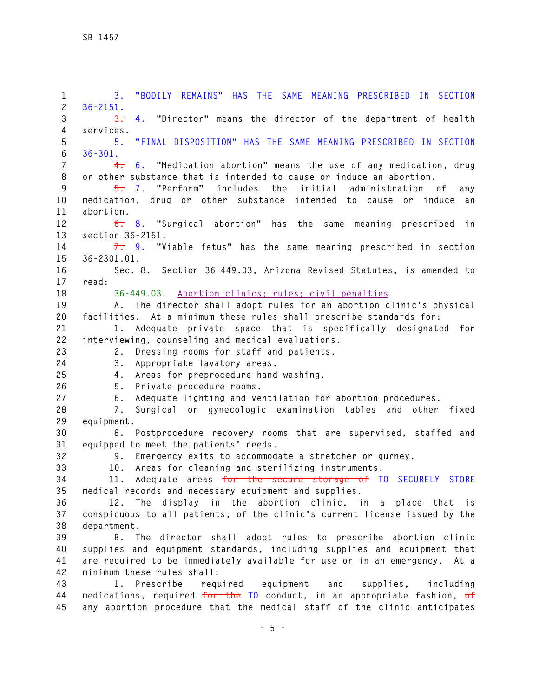**1 3. "BODILY REMAINS" HAS THE SAME MEANING PRESCRIBED IN SECTION 2 36-2151. 3 3. 4. "Director" means the director of the department of health 4 services. 5 5. "FINAL DISPOSITION" HAS THE SAME MEANING PRESCRIBED IN SECTION 6 36-301. 7 4. 6. "Medication abortion" means the use of any medication, drug 8 or other substance that is intended to cause or induce an abortion. 9 5. 7. "Perform" includes the initial administration of any 10 medication, drug or other substance intended to cause or induce an 11 abortion. 12 6. 8. "Surgical abortion" has the same meaning prescribed in 13 section 36-2151. 14 7. 9. "Viable fetus" has the same meaning prescribed in section 15 36-2301.01. 16 Sec. 8. Section 36-449.03, Arizona Revised Statutes, is amended to 17 read: 18 36-449.03. Abortion clinics; rules; civil penalties 19 A. The director shall adopt rules for an abortion clinic's physical 20 facilities. At a minimum these rules shall prescribe standards for: 21 1. Adequate private space that is specifically designated for 22 interviewing, counseling and medical evaluations. 23 2. Dressing rooms for staff and patients. 24 3. Appropriate lavatory areas. 25 4. Areas for preprocedure hand washing. 26 5. Private procedure rooms. 27 6. Adequate lighting and ventilation for abortion procedures. 28 7. Surgical or gynecologic examination tables and other fixed 29 equipment. 30 8. Postprocedure recovery rooms that are supervised, staffed and 31 equipped to meet the patients' needs. 32 9. Emergency exits to accommodate a stretcher or gurney. 33 10. Areas for cleaning and sterilizing instruments. 34 11. Adequate areas for the secure storage of TO SECURELY STORE 35 medical records and necessary equipment and supplies. 36 12. The display in the abortion clinic, in a place that is 37 conspicuous to all patients, of the clinic's current license issued by the 38 department. 39 B. The director shall adopt rules to prescribe abortion clinic 40 supplies and equipment standards, including supplies and equipment that 41 are required to be immediately available for use or in an emergency. At a 42 minimum these rules shall: 43 1. Prescribe required equipment and supplies, including 44 medications, required for the TO conduct, in an appropriate fashion, of 45 any abortion procedure that the medical staff of the clinic anticipates**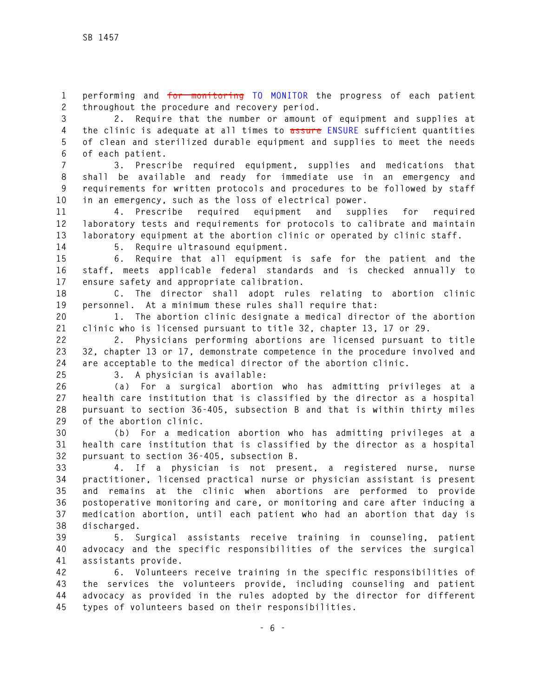**1 performing and for monitoring TO MONITOR the progress of each patient 2 throughout the procedure and recovery period.** 

**3 2. Require that the number or amount of equipment and supplies at 4 the clinic is adequate at all times to assure ENSURE sufficient quantities 5 of clean and sterilized durable equipment and supplies to meet the needs 6 of each patient.** 

**7 3. Prescribe required equipment, supplies and medications that 8 shall be available and ready for immediate use in an emergency and 9 requirements for written protocols and procedures to be followed by staff 10 in an emergency, such as the loss of electrical power.** 

**11 4. Prescribe required equipment and supplies for required 12 laboratory tests and requirements for protocols to calibrate and maintain 13 laboratory equipment at the abortion clinic or operated by clinic staff.** 

**14 5. Require ultrasound equipment.** 

**15 6. Require that all equipment is safe for the patient and the 16 staff, meets applicable federal standards and is checked annually to 17 ensure safety and appropriate calibration.** 

**18 C. The director shall adopt rules relating to abortion clinic 19 personnel. At a minimum these rules shall require that:** 

**20 1. The abortion clinic designate a medical director of the abortion 21 clinic who is licensed pursuant to title 32, chapter 13, 17 or 29.** 

**22 2. Physicians performing abortions are licensed pursuant to title 23 32, chapter 13 or 17, demonstrate competence in the procedure involved and 24 are acceptable to the medical director of the abortion clinic.** 

**25 3. A physician is available:** 

**26 (a) For a surgical abortion who has admitting privileges at a 27 health care institution that is classified by the director as a hospital 28 pursuant to section 36-405, subsection B and that is within thirty miles 29 of the abortion clinic.** 

**30 (b) For a medication abortion who has admitting privileges at a 31 health care institution that is classified by the director as a hospital 32 pursuant to section 36-405, subsection B.** 

**33 4. If a physician is not present, a registered nurse, nurse 34 practitioner, licensed practical nurse or physician assistant is present 35 and remains at the clinic when abortions are performed to provide 36 postoperative monitoring and care, or monitoring and care after inducing a 37 medication abortion, until each patient who had an abortion that day is 38 discharged.** 

**39 5. Surgical assistants receive training in counseling, patient 40 advocacy and the specific responsibilities of the services the surgical 41 assistants provide.** 

**42 6. Volunteers receive training in the specific responsibilities of 43 the services the volunteers provide, including counseling and patient 44 advocacy as provided in the rules adopted by the director for different 45 types of volunteers based on their responsibilities.**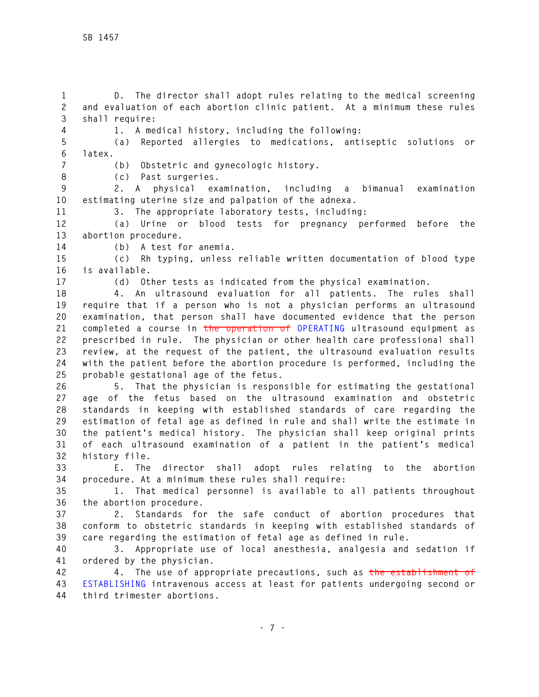**1 D. The director shall adopt rules relating to the medical screening 2 and evaluation of each abortion clinic patient. At a minimum these rules 3 shall require:** 

**4 1. A medical history, including the following:** 

**5 (a) Reported allergies to medications, antiseptic solutions or 6 latex.** 

**7 (b) Obstetric and gynecologic history.** 

**8 (c) Past surgeries.** 

**9 2. A physical examination, including a bimanual examination 10 estimating uterine size and palpation of the adnexa.** 

**11 3. The appropriate laboratory tests, including:** 

**12 (a) Urine or blood tests for pregnancy performed before the 13 abortion procedure.** 

**14 (b) A test for anemia.** 

**15 (c) Rh typing, unless reliable written documentation of blood type 16 is available.** 

**17 (d) Other tests as indicated from the physical examination.** 

**18 4. An ultrasound evaluation for all patients. The rules shall 19 require that if a person who is not a physician performs an ultrasound 20 examination, that person shall have documented evidence that the person 21 completed a course in the operation of OPERATING ultrasound equipment as 22 prescribed in rule. The physician or other health care professional shall 23 review, at the request of the patient, the ultrasound evaluation results 24 with the patient before the abortion procedure is performed, including the 25 probable gestational age of the fetus.** 

**26 5. That the physician is responsible for estimating the gestational 27 age of the fetus based on the ultrasound examination and obstetric 28 standards in keeping with established standards of care regarding the 29 estimation of fetal age as defined in rule and shall write the estimate in 30 the patient's medical history. The physician shall keep original prints 31 of each ultrasound examination of a patient in the patient's medical 32 history file.** 

**33 E. The director shall adopt rules relating to the abortion 34 procedure. At a minimum these rules shall require:** 

**35 1. That medical personnel is available to all patients throughout 36 the abortion procedure.** 

**37 2. Standards for the safe conduct of abortion procedures that 38 conform to obstetric standards in keeping with established standards of 39 care regarding the estimation of fetal age as defined in rule.** 

**40 3. Appropriate use of local anesthesia, analgesia and sedation if 41 ordered by the physician.** 

**42 4. The use of appropriate precautions, such as the establishment of 43 ESTABLISHING intravenous access at least for patients undergoing second or 44 third trimester abortions.**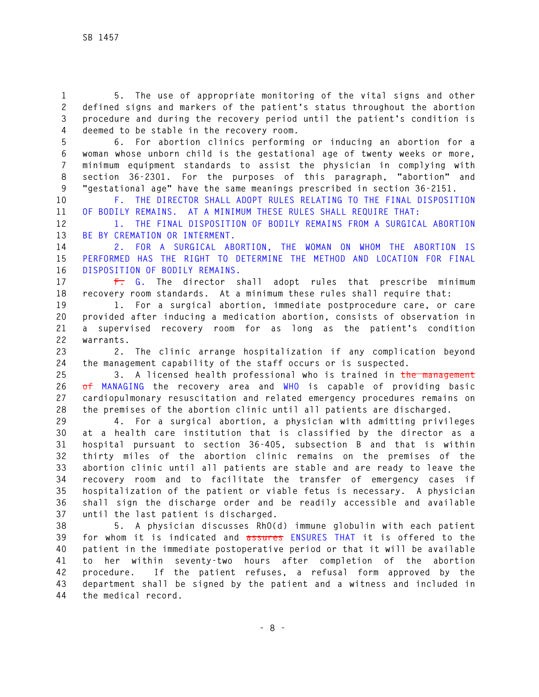**1 5. The use of appropriate monitoring of the vital signs and other 2 defined signs and markers of the patient's status throughout the abortion 3 procedure and during the recovery period until the patient's condition is 4 deemed to be stable in the recovery room.** 

**5 6. For abortion clinics performing or inducing an abortion for a 6 woman whose unborn child is the gestational age of twenty weeks or more, 7 minimum equipment standards to assist the physician in complying with 8 section 36-2301. For the purposes of this paragraph, "abortion" and 9 "gestational age" have the same meanings prescribed in section 36-2151.** 

**10 F. THE DIRECTOR SHALL ADOPT RULES RELATING TO THE FINAL DISPOSITION 11 OF BODILY REMAINS. AT A MINIMUM THESE RULES SHALL REQUIRE THAT:** 

**12 1. THE FINAL DISPOSITION OF BODILY REMAINS FROM A SURGICAL ABORTION 13 BE BY CREMATION OR INTERMENT.** 

**14 2. FOR A SURGICAL ABORTION, THE WOMAN ON WHOM THE ABORTION IS 15 PERFORMED HAS THE RIGHT TO DETERMINE THE METHOD AND LOCATION FOR FINAL 16 DISPOSITION OF BODILY REMAINS.** 

**17 F. G. The director shall adopt rules that prescribe minimum 18 recovery room standards. At a minimum these rules shall require that:** 

**19 1. For a surgical abortion, immediate postprocedure care, or care 20 provided after inducing a medication abortion, consists of observation in 21 a supervised recovery room for as long as the patient's condition 22 warrants.** 

**23 2. The clinic arrange hospitalization if any complication beyond 24 the management capability of the staff occurs or is suspected.** 

**25 3. A licensed health professional who is trained in the management 26 of MANAGING the recovery area and WHO is capable of providing basic 27 cardiopulmonary resuscitation and related emergency procedures remains on 28 the premises of the abortion clinic until all patients are discharged.** 

**29 4. For a surgical abortion, a physician with admitting privileges 30 at a health care institution that is classified by the director as a 31 hospital pursuant to section 36-405, subsection B and that is within 32 thirty miles of the abortion clinic remains on the premises of the 33 abortion clinic until all patients are stable and are ready to leave the 34 recovery room and to facilitate the transfer of emergency cases if 35 hospitalization of the patient or viable fetus is necessary. A physician 36 shall sign the discharge order and be readily accessible and available 37 until the last patient is discharged.** 

**38 5. A physician discusses RhO(d) immune globulin with each patient 39 for whom it is indicated and assures ENSURES THAT it is offered to the 40 patient in the immediate postoperative period or that it will be available 41 to her within seventy-two hours after completion of the abortion 42 procedure. If the patient refuses, a refusal form approved by the 43 department shall be signed by the patient and a witness and included in 44 the medical record.**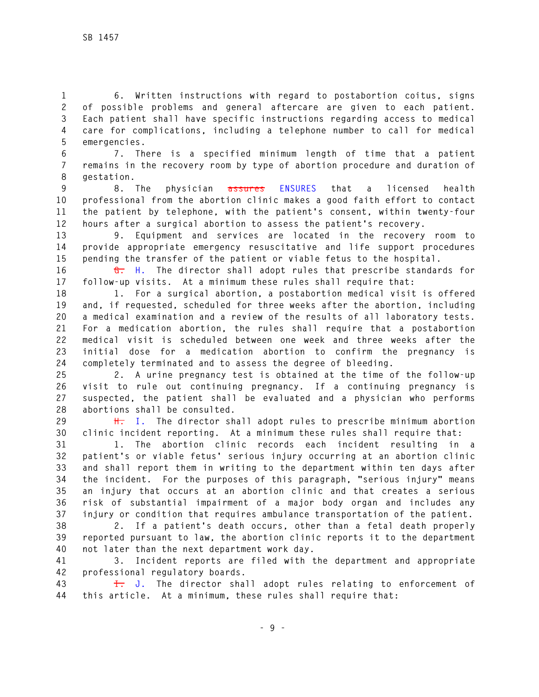**1 6. Written instructions with regard to postabortion coitus, signs 2 of possible problems and general aftercare are given to each patient. 3 Each patient shall have specific instructions regarding access to medical 4 care for complications, including a telephone number to call for medical 5 emergencies.** 

**6 7. There is a specified minimum length of time that a patient 7 remains in the recovery room by type of abortion procedure and duration of 8 gestation.** 

**9 8. The physician assures ENSURES that a licensed health 10 professional from the abortion clinic makes a good faith effort to contact 11 the patient by telephone, with the patient's consent, within twenty-four 12 hours after a surgical abortion to assess the patient's recovery.** 

**13 9. Equipment and services are located in the recovery room to 14 provide appropriate emergency resuscitative and life support procedures 15 pending the transfer of the patient or viable fetus to the hospital.** 

**16 G. H. The director shall adopt rules that prescribe standards for 17 follow-up visits. At a minimum these rules shall require that:** 

**18 1. For a surgical abortion, a postabortion medical visit is offered 19 and, if requested, scheduled for three weeks after the abortion, including 20 a medical examination and a review of the results of all laboratory tests. 21 For a medication abortion, the rules shall require that a postabortion 22 medical visit is scheduled between one week and three weeks after the 23 initial dose for a medication abortion to confirm the pregnancy is 24 completely terminated and to assess the degree of bleeding.** 

**25 2. A urine pregnancy test is obtained at the time of the follow-up 26 visit to rule out continuing pregnancy. If a continuing pregnancy is 27 suspected, the patient shall be evaluated and a physician who performs 28 abortions shall be consulted.** 

**29 H. I. The director shall adopt rules to prescribe minimum abortion 30 clinic incident reporting. At a minimum these rules shall require that:** 

**31 1. The abortion clinic records each incident resulting in a 32 patient's or viable fetus' serious injury occurring at an abortion clinic 33 and shall report them in writing to the department within ten days after 34 the incident. For the purposes of this paragraph, "serious injury" means 35 an injury that occurs at an abortion clinic and that creates a serious 36 risk of substantial impairment of a major body organ and includes any 37 injury or condition that requires ambulance transportation of the patient.** 

**38 2. If a patient's death occurs, other than a fetal death properly 39 reported pursuant to law, the abortion clinic reports it to the department 40 not later than the next department work day.** 

**41 3. Incident reports are filed with the department and appropriate 42 professional regulatory boards.** 

**43 I. J. The director shall adopt rules relating to enforcement of 44 this article. At a minimum, these rules shall require that:**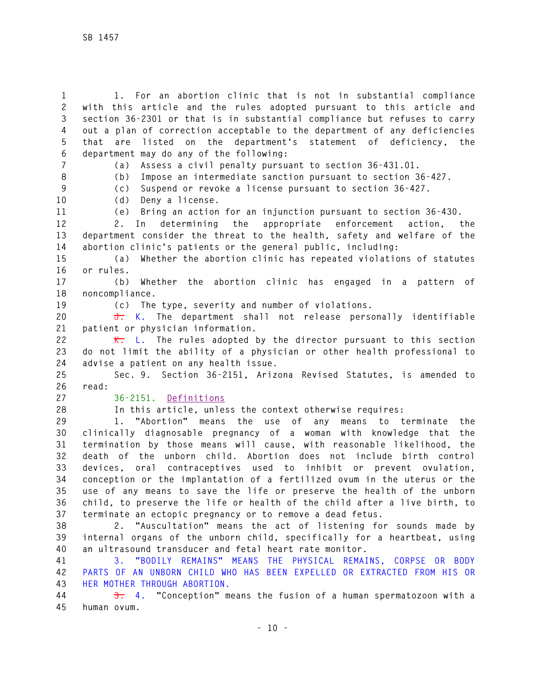**1 1. For an abortion clinic that is not in substantial compliance 2 with this article and the rules adopted pursuant to this article and 3 section 36-2301 or that is in substantial compliance but refuses to carry 4 out a plan of correction acceptable to the department of any deficiencies 5 that are listed on the department's statement of deficiency, the 6 department may do any of the following: 7 (a) Assess a civil penalty pursuant to section 36-431.01. 8 (b) Impose an intermediate sanction pursuant to section 36-427. 9 (c) Suspend or revoke a license pursuant to section 36-427. 10 (d) Deny a license. 11 (e) Bring an action for an injunction pursuant to section 36-430. 12 2. In determining the appropriate enforcement action, the 13 department consider the threat to the health, safety and welfare of the 14 abortion clinic's patients or the general public, including: 15 (a) Whether the abortion clinic has repeated violations of statutes 16 or rules. 17 (b) Whether the abortion clinic has engaged in a pattern of 18 noncompliance. 19 (c) The type, severity and number of violations. 20 J. K. The department shall not release personally identifiable 21 patient or physician information. 22 K. L. The rules adopted by the director pursuant to this section 23 do not limit the ability of a physician or other health professional to 24 advise a patient on any health issue. 25 Sec. 9. Section 36-2151, Arizona Revised Statutes, is amended to 26 read: 27 36-2151. Definitions 28 In this article, unless the context otherwise requires: 29 1. "Abortion" means the use of any means to terminate the 30 clinically diagnosable pregnancy of a woman with knowledge that the 31 termination by those means will cause, with reasonable likelihood, the 32 death of the unborn child. Abortion does not include birth control 33 devices, oral contraceptives used to inhibit or prevent ovulation, 34 conception or the implantation of a fertilized ovum in the uterus or the 35 use of any means to save the life or preserve the health of the unborn 36 child, to preserve the life or health of the child after a live birth, to 37 terminate an ectopic pregnancy or to remove a dead fetus. 38 2. "Auscultation" means the act of listening for sounds made by 39 internal organs of the unborn child, specifically for a heartbeat, using** 

**40 an ultrasound transducer and fetal heart rate monitor. 41 3. "BODILY REMAINS" MEANS THE PHYSICAL REMAINS, CORPSE OR BODY 42 PARTS OF AN UNBORN CHILD WHO HAS BEEN EXPELLED OR EXTRACTED FROM HIS OR 43 HER MOTHER THROUGH ABORTION.** 

**44 3. 4. "Conception" means the fusion of a human spermatozoon with a 45 human ovum.**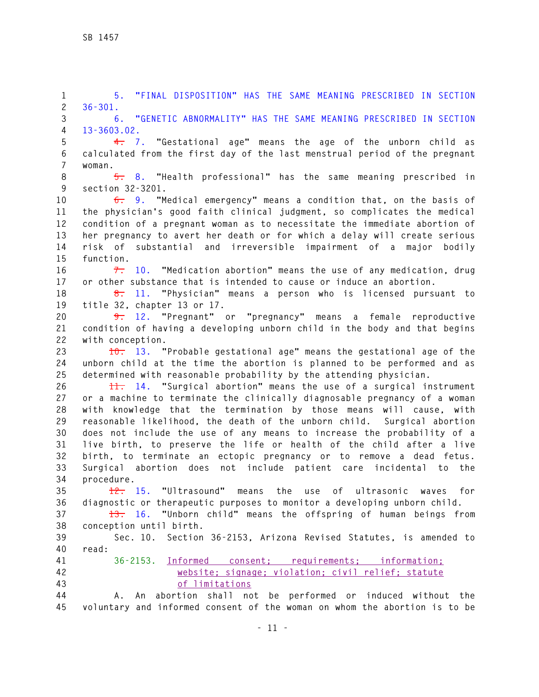**1 5. "FINAL DISPOSITION" HAS THE SAME MEANING PRESCRIBED IN SECTION 2 36-301. 3 6. "GENETIC ABNORMALITY" HAS THE SAME MEANING PRESCRIBED IN SECTION 4 13-3603.02. 5 4. 7. "Gestational age" means the age of the unborn child as 6 calculated from the first day of the last menstrual period of the pregnant 7 woman. 8 5. 8. "Health professional" has the same meaning prescribed in 9 section 32-3201. 10 6. 9. "Medical emergency" means a condition that, on the basis of 11 the physician's good faith clinical judgment, so complicates the medical 12 condition of a pregnant woman as to necessitate the immediate abortion of 13 her pregnancy to avert her death or for which a delay will create serious 14 risk of substantial and irreversible impairment of a major bodily 15 function. 16 7. 10. "Medication abortion" means the use of any medication, drug 17 or other substance that is intended to cause or induce an abortion. 18 8. 11. "Physician" means a person who is licensed pursuant to 19 title 32, chapter 13 or 17. 20 9. 12. "Pregnant" or "pregnancy" means a female reproductive 21 condition of having a developing unborn child in the body and that begins 22 with conception. 23 10. 13. "Probable gestational age" means the gestational age of the 24 unborn child at the time the abortion is planned to be performed and as 25 determined with reasonable probability by the attending physician. 26 11. 14. "Surgical abortion" means the use of a surgical instrument 27 or a machine to terminate the clinically diagnosable pregnancy of a woman 28 with knowledge that the termination by those means will cause, with 29 reasonable likelihood, the death of the unborn child. Surgical abortion 30 does not include the use of any means to increase the probability of a 31 live birth, to preserve the life or health of the child after a live 32 birth, to terminate an ectopic pregnancy or to remove a dead fetus. 33 Surgical abortion does not include patient care incidental to the 34 procedure. 35 12. 15. "Ultrasound" means the use of ultrasonic waves for 36 diagnostic or therapeutic purposes to monitor a developing unborn child. 37 13. 16. "Unborn child" means the offspring of human beings from 38 conception until birth. 39 Sec. 10. Section 36-2153, Arizona Revised Statutes, is amended to 40 read: 41 36-2153. Informed consent; requirements; information; 42 website; signage; violation; civil relief; statute 43 of limitations 44 A. An abortion shall not be performed or induced without the 45 voluntary and informed consent of the woman on whom the abortion is to be**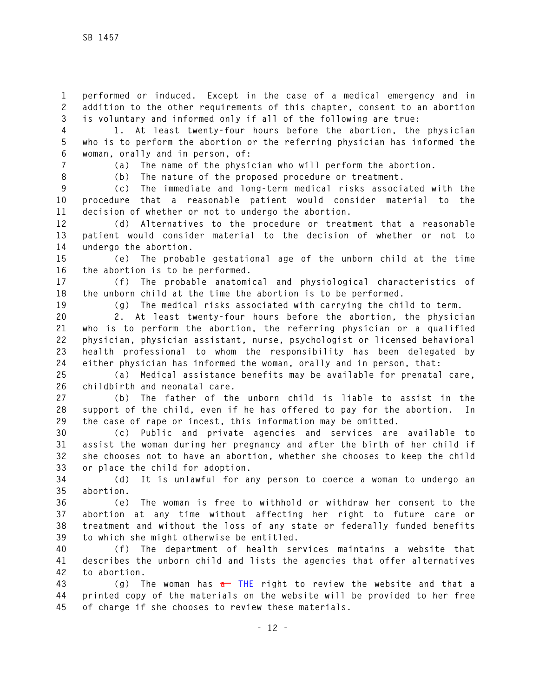**1 performed or induced. Except in the case of a medical emergency and in 2 addition to the other requirements of this chapter, consent to an abortion 3 is voluntary and informed only if all of the following are true:** 

**4 1. At least twenty-four hours before the abortion, the physician 5 who is to perform the abortion or the referring physician has informed the 6 woman, orally and in person, of:** 

**7 (a) The name of the physician who will perform the abortion.** 

**8 (b) The nature of the proposed procedure or treatment.** 

**9 (c) The immediate and long-term medical risks associated with the 10 procedure that a reasonable patient would consider material to the 11 decision of whether or not to undergo the abortion.** 

**12 (d) Alternatives to the procedure or treatment that a reasonable 13 patient would consider material to the decision of whether or not to 14 undergo the abortion.** 

**15 (e) The probable gestational age of the unborn child at the time 16 the abortion is to be performed.** 

**17 (f) The probable anatomical and physiological characteristics of 18 the unborn child at the time the abortion is to be performed.** 

**19 (g) The medical risks associated with carrying the child to term.** 

**20 2. At least twenty-four hours before the abortion, the physician 21 who is to perform the abortion, the referring physician or a qualified 22 physician, physician assistant, nurse, psychologist or licensed behavioral 23 health professional to whom the responsibility has been delegated by 24 either physician has informed the woman, orally and in person, that:** 

**25 (a) Medical assistance benefits may be available for prenatal care, 26 childbirth and neonatal care.** 

**27 (b) The father of the unborn child is liable to assist in the 28 support of the child, even if he has offered to pay for the abortion. In 29 the case of rape or incest, this information may be omitted.** 

**30 (c) Public and private agencies and services are available to 31 assist the woman during her pregnancy and after the birth of her child if 32 she chooses not to have an abortion, whether she chooses to keep the child 33 or place the child for adoption.** 

**34 (d) It is unlawful for any person to coerce a woman to undergo an 35 abortion.** 

**36 (e) The woman is free to withhold or withdraw her consent to the 37 abortion at any time without affecting her right to future care or 38 treatment and without the loss of any state or federally funded benefits 39 to which she might otherwise be entitled.** 

**40 (f) The department of health services maintains a website that 41 describes the unborn child and lists the agencies that offer alternatives 42 to abortion.** 

**43 (g) The woman has a THE right to review the website and that a 44 printed copy of the materials on the website will be provided to her free 45 of charge if she chooses to review these materials.**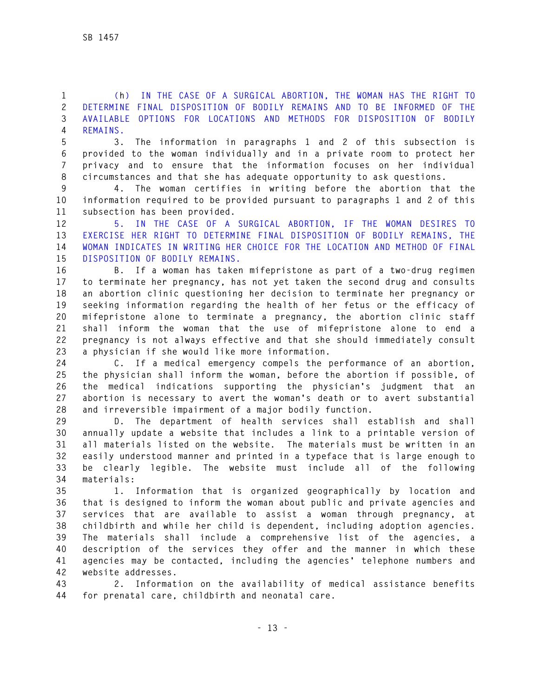**1 (h) IN THE CASE OF A SURGICAL ABORTION, THE WOMAN HAS THE RIGHT TO 2 DETERMINE FINAL DISPOSITION OF BODILY REMAINS AND TO BE INFORMED OF THE 3 AVAILABLE OPTIONS FOR LOCATIONS AND METHODS FOR DISPOSITION OF BODILY 4 REMAINS.** 

**5 3. The information in paragraphs 1 and 2 of this subsection is 6 provided to the woman individually and in a private room to protect her 7 privacy and to ensure that the information focuses on her individual 8 circumstances and that she has adequate opportunity to ask questions.** 

**9 4. The woman certifies in writing before the abortion that the 10 information required to be provided pursuant to paragraphs 1 and 2 of this 11 subsection has been provided.** 

**12 5. IN THE CASE OF A SURGICAL ABORTION, IF THE WOMAN DESIRES TO 13 EXERCISE HER RIGHT TO DETERMINE FINAL DISPOSITION OF BODILY REMAINS, THE 14 WOMAN INDICATES IN WRITING HER CHOICE FOR THE LOCATION AND METHOD OF FINAL 15 DISPOSITION OF BODILY REMAINS.** 

**16 B. If a woman has taken mifepristone as part of a two-drug regimen 17 to terminate her pregnancy, has not yet taken the second drug and consults 18 an abortion clinic questioning her decision to terminate her pregnancy or 19 seeking information regarding the health of her fetus or the efficacy of 20 mifepristone alone to terminate a pregnancy, the abortion clinic staff 21 shall inform the woman that the use of mifepristone alone to end a 22 pregnancy is not always effective and that she should immediately consult 23 a physician if she would like more information.** 

**24 C. If a medical emergency compels the performance of an abortion, 25 the physician shall inform the woman, before the abortion if possible, of 26 the medical indications supporting the physician's judgment that an 27 abortion is necessary to avert the woman's death or to avert substantial 28 and irreversible impairment of a major bodily function.** 

**29 D. The department of health services shall establish and shall 30 annually update a website that includes a link to a printable version of 31 all materials listed on the website. The materials must be written in an 32 easily understood manner and printed in a typeface that is large enough to 33 be clearly legible. The website must include all of the following 34 materials:** 

**35 1. Information that is organized geographically by location and 36 that is designed to inform the woman about public and private agencies and 37 services that are available to assist a woman through pregnancy, at 38 childbirth and while her child is dependent, including adoption agencies. 39 The materials shall include a comprehensive list of the agencies, a 40 description of the services they offer and the manner in which these 41 agencies may be contacted, including the agencies' telephone numbers and 42 website addresses.** 

**43 2. Information on the availability of medical assistance benefits 44 for prenatal care, childbirth and neonatal care.**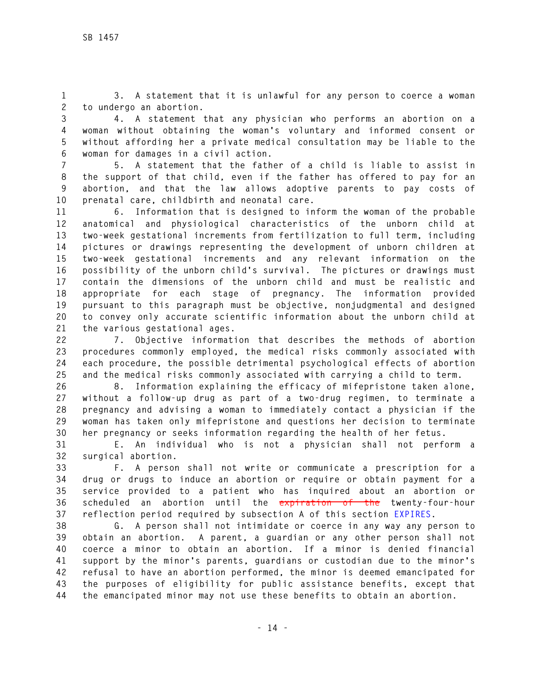**1 3. A statement that it is unlawful for any person to coerce a woman 2 to undergo an abortion.** 

**3 4. A statement that any physician who performs an abortion on a 4 woman without obtaining the woman's voluntary and informed consent or 5 without affording her a private medical consultation may be liable to the 6 woman for damages in a civil action.** 

**7 5. A statement that the father of a child is liable to assist in 8 the support of that child, even if the father has offered to pay for an 9 abortion, and that the law allows adoptive parents to pay costs of 10 prenatal care, childbirth and neonatal care.** 

**11 6. Information that is designed to inform the woman of the probable 12 anatomical and physiological characteristics of the unborn child at 13 two-week gestational increments from fertilization to full term, including 14 pictures or drawings representing the development of unborn children at 15 two-week gestational increments and any relevant information on the 16 possibility of the unborn child's survival. The pictures or drawings must 17 contain the dimensions of the unborn child and must be realistic and 18 appropriate for each stage of pregnancy. The information provided 19 pursuant to this paragraph must be objective, nonjudgmental and designed 20 to convey only accurate scientific information about the unborn child at 21 the various gestational ages.** 

**22 7. Objective information that describes the methods of abortion 23 procedures commonly employed, the medical risks commonly associated with 24 each procedure, the possible detrimental psychological effects of abortion 25 and the medical risks commonly associated with carrying a child to term.** 

**26 8. Information explaining the efficacy of mifepristone taken alone, 27 without a follow-up drug as part of a two-drug regimen, to terminate a 28 pregnancy and advising a woman to immediately contact a physician if the 29 woman has taken only mifepristone and questions her decision to terminate 30 her pregnancy or seeks information regarding the health of her fetus.** 

**31 E. An individual who is not a physician shall not perform a 32 surgical abortion.** 

**33 F. A person shall not write or communicate a prescription for a 34 drug or drugs to induce an abortion or require or obtain payment for a 35 service provided to a patient who has inquired about an abortion or 36 scheduled an abortion until the expiration of the twenty-four-hour 37 reflection period required by subsection A of this section EXPIRES.** 

**38 G. A person shall not intimidate or coerce in any way any person to 39 obtain an abortion. A parent, a guardian or any other person shall not 40 coerce a minor to obtain an abortion. If a minor is denied financial 41 support by the minor's parents, guardians or custodian due to the minor's 42 refusal to have an abortion performed, the minor is deemed emancipated for 43 the purposes of eligibility for public assistance benefits, except that 44 the emancipated minor may not use these benefits to obtain an abortion.**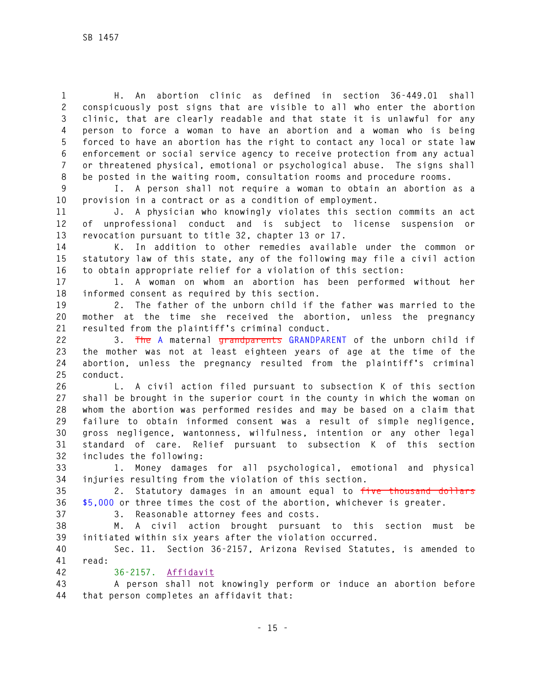**1 H. An abortion clinic as defined in section 36-449.01 shall 2 conspicuously post signs that are visible to all who enter the abortion 3 clinic, that are clearly readable and that state it is unlawful for any 4 person to force a woman to have an abortion and a woman who is being 5 forced to have an abortion has the right to contact any local or state law 6 enforcement or social service agency to receive protection from any actual 7 or threatened physical, emotional or psychological abuse. The signs shall 8 be posted in the waiting room, consultation rooms and procedure rooms.** 

**9 I. A person shall not require a woman to obtain an abortion as a 10 provision in a contract or as a condition of employment.** 

**11 J. A physician who knowingly violates this section commits an act 12 of unprofessional conduct and is subject to license suspension or 13 revocation pursuant to title 32, chapter 13 or 17.** 

**14 K. In addition to other remedies available under the common or 15 statutory law of this state, any of the following may file a civil action 16 to obtain appropriate relief for a violation of this section:** 

**17 1. A woman on whom an abortion has been performed without her 18 informed consent as required by this section.** 

**19 2. The father of the unborn child if the father was married to the 20 mother at the time she received the abortion, unless the pregnancy 21 resulted from the plaintiff's criminal conduct.** 

**22 3. The A maternal grandparents GRANDPARENT of the unborn child if 23 the mother was not at least eighteen years of age at the time of the 24 abortion, unless the pregnancy resulted from the plaintiff's criminal 25 conduct.** 

**26 L. A civil action filed pursuant to subsection K of this section 27 shall be brought in the superior court in the county in which the woman on 28 whom the abortion was performed resides and may be based on a claim that 29 failure to obtain informed consent was a result of simple negligence, 30 gross negligence, wantonness, wilfulness, intention or any other legal 31 standard of care. Relief pursuant to subsection K of this section 32 includes the following:** 

**33 1. Money damages for all psychological, emotional and physical 34 injuries resulting from the violation of this section.** 

**35 2. Statutory damages in an amount equal to five thousand dollars 36 \$5,000 or three times the cost of the abortion, whichever is greater.** 

**37 3. Reasonable attorney fees and costs.** 

**38 M. A civil action brought pursuant to this section must be 39 initiated within six years after the violation occurred.** 

**40 Sec. 11. Section 36-2157, Arizona Revised Statutes, is amended to 41 read:** 

**42 36-2157. Affidavit**

**43 A person shall not knowingly perform or induce an abortion before 44 that person completes an affidavit that:**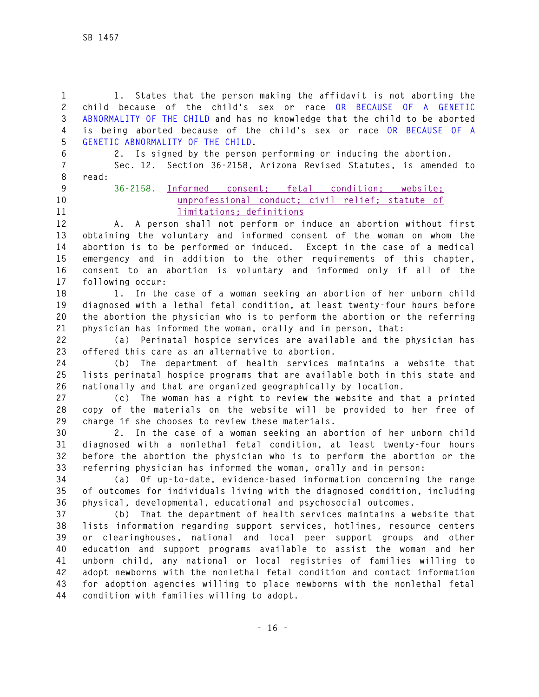**1 1. States that the person making the affidavit is not aborting the 2 child because of the child's sex or race OR BECAUSE OF A GENETIC 3 ABNORMALITY OF THE CHILD and has no knowledge that the child to be aborted 4 is being aborted because of the child's sex or race OR BECAUSE OF A 5 GENETIC ABNORMALITY OF THE CHILD.** 

**6 2. Is signed by the person performing or inducing the abortion.** 

**7 Sec. 12. Section 36-2158, Arizona Revised Statutes, is amended to 8 read:** 

- 
- 

**9 36-2158. Informed consent; fetal condition; website; 10 unprofessional conduct; civil relief; statute of 11 limitations; definitions** 

**12 A. A person shall not perform or induce an abortion without first 13 obtaining the voluntary and informed consent of the woman on whom the 14 abortion is to be performed or induced. Except in the case of a medical 15 emergency and in addition to the other requirements of this chapter, 16 consent to an abortion is voluntary and informed only if all of the 17 following occur:** 

**18 1. In the case of a woman seeking an abortion of her unborn child 19 diagnosed with a lethal fetal condition, at least twenty-four hours before 20 the abortion the physician who is to perform the abortion or the referring 21 physician has informed the woman, orally and in person, that:** 

**22 (a) Perinatal hospice services are available and the physician has 23 offered this care as an alternative to abortion.** 

**24 (b) The department of health services maintains a website that 25 lists perinatal hospice programs that are available both in this state and 26 nationally and that are organized geographically by location.** 

**27 (c) The woman has a right to review the website and that a printed 28 copy of the materials on the website will be provided to her free of 29 charge if she chooses to review these materials.** 

**30 2. In the case of a woman seeking an abortion of her unborn child 31 diagnosed with a nonlethal fetal condition, at least twenty-four hours 32 before the abortion the physician who is to perform the abortion or the 33 referring physician has informed the woman, orally and in person:** 

**34 (a) Of up-to-date, evidence-based information concerning the range 35 of outcomes for individuals living with the diagnosed condition, including 36 physical, developmental, educational and psychosocial outcomes.** 

**37 (b) That the department of health services maintains a website that 38 lists information regarding support services, hotlines, resource centers 39 or clearinghouses, national and local peer support groups and other 40 education and support programs available to assist the woman and her 41 unborn child, any national or local registries of families willing to 42 adopt newborns with the nonlethal fetal condition and contact information 43 for adoption agencies willing to place newborns with the nonlethal fetal 44 condition with families willing to adopt.**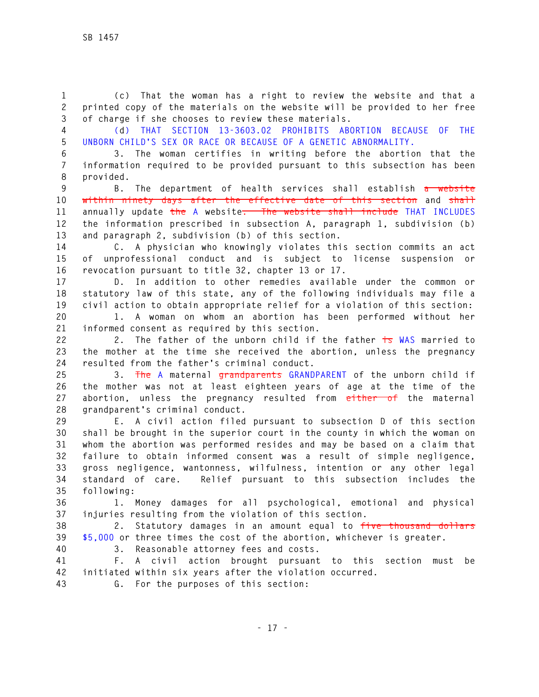**1 (c) That the woman has a right to review the website and that a 2 printed copy of the materials on the website will be provided to her free 3 of charge if she chooses to review these materials.** 

**4 (d) THAT SECTION 13-3603.02 PROHIBITS ABORTION BECAUSE OF THE 5 UNBORN CHILD'S SEX OR RACE OR BECAUSE OF A GENETIC ABNORMALITY.** 

**6 3. The woman certifies in writing before the abortion that the 7 information required to be provided pursuant to this subsection has been 8 provided.** 

**9 B. The department of health services shall establish a website 10 within ninety days after the effective date of this section and shall 11 annually update the A website. The website shall include THAT INCLUDES 12 the information prescribed in subsection A, paragraph 1, subdivision (b) 13 and paragraph 2, subdivision (b) of this section.** 

**14 C. A physician who knowingly violates this section commits an act 15 of unprofessional conduct and is subject to license suspension or 16 revocation pursuant to title 32, chapter 13 or 17.** 

**17 D. In addition to other remedies available under the common or 18 statutory law of this state, any of the following individuals may file a 19 civil action to obtain appropriate relief for a violation of this section:** 

**20 1. A woman on whom an abortion has been performed without her 21 informed consent as required by this section.** 

**22 2. The father of the unborn child if the father is WAS married to 23 the mother at the time she received the abortion, unless the pregnancy 24 resulted from the father's criminal conduct.** 

**25 3. The A maternal grandparents GRANDPARENT of the unborn child if 26 the mother was not at least eighteen years of age at the time of the 27 abortion, unless the pregnancy resulted from either of the maternal 28 grandparent's criminal conduct.** 

**29 E. A civil action filed pursuant to subsection D of this section 30 shall be brought in the superior court in the county in which the woman on 31 whom the abortion was performed resides and may be based on a claim that 32 failure to obtain informed consent was a result of simple negligence, 33 gross negligence, wantonness, wilfulness, intention or any other legal 34 standard of care. Relief pursuant to this subsection includes the 35 following:** 

**36 1. Money damages for all psychological, emotional and physical 37 injuries resulting from the violation of this section.** 

**38 2. Statutory damages in an amount equal to five thousand dollars 39 \$5,000 or three times the cost of the abortion, whichever is greater. 40 3. Reasonable attorney fees and costs.** 

**41 F. A civil action brought pursuant to this section must be 42 initiated within six years after the violation occurred.** 

**43 G. For the purposes of this section:**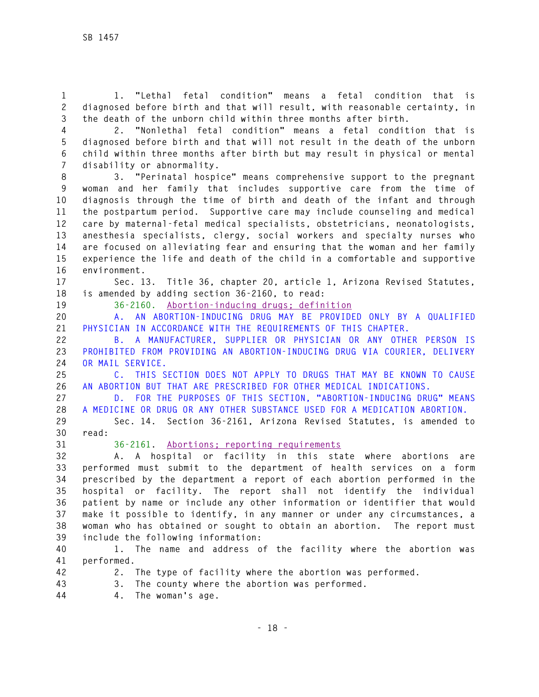**1 1. "Lethal fetal condition" means a fetal condition that is 2 diagnosed before birth and that will result, with reasonable certainty, in 3 the death of the unborn child within three months after birth.** 

**4 2. "Nonlethal fetal condition" means a fetal condition that is 5 diagnosed before birth and that will not result in the death of the unborn 6 child within three months after birth but may result in physical or mental 7 disability or abnormality.** 

**8 3. "Perinatal hospice" means comprehensive support to the pregnant 9 woman and her family that includes supportive care from the time of 10 diagnosis through the time of birth and death of the infant and through 11 the postpartum period. Supportive care may include counseling and medical 12 care by maternal-fetal medical specialists, obstetricians, neonatologists, 13 anesthesia specialists, clergy, social workers and specialty nurses who 14 are focused on alleviating fear and ensuring that the woman and her family 15 experience the life and death of the child in a comfortable and supportive 16 environment.** 

**17 Sec. 13. Title 36, chapter 20, article 1, Arizona Revised Statutes, 18 is amended by adding section 36-2160, to read:** 

**19 36-2160. Abortion-inducing drugs; definition** 

**20 A. AN ABORTION-INDUCING DRUG MAY BE PROVIDED ONLY BY A QUALIFIED 21 PHYSICIAN IN ACCORDANCE WITH THE REQUIREMENTS OF THIS CHAPTER.** 

**22 B. A MANUFACTURER, SUPPLIER OR PHYSICIAN OR ANY OTHER PERSON IS 23 PROHIBITED FROM PROVIDING AN ABORTION-INDUCING DRUG VIA COURIER, DELIVERY 24 OR MAIL SERVICE.** 

**25 C. THIS SECTION DOES NOT APPLY TO DRUGS THAT MAY BE KNOWN TO CAUSE 26 AN ABORTION BUT THAT ARE PRESCRIBED FOR OTHER MEDICAL INDICATIONS.** 

**27 D. FOR THE PURPOSES OF THIS SECTION, "ABORTION-INDUCING DRUG" MEANS 28 A MEDICINE OR DRUG OR ANY OTHER SUBSTANCE USED FOR A MEDICATION ABORTION.**

**29 Sec. 14. Section 36-2161, Arizona Revised Statutes, is amended to 30 read:** 

**31 36-2161. Abortions; reporting requirements**

**32 A. A hospital or facility in this state where abortions are 33 performed must submit to the department of health services on a form 34 prescribed by the department a report of each abortion performed in the 35 hospital or facility. The report shall not identify the individual 36 patient by name or include any other information or identifier that would 37 make it possible to identify, in any manner or under any circumstances, a 38 woman who has obtained or sought to obtain an abortion. The report must 39 include the following information:** 

**40 1. The name and address of the facility where the abortion was 41 performed.** 

- 
- **42 2. The type of facility where the abortion was performed.**
- **43 3. The county where the abortion was performed.**
- **44 4. The woman's age.**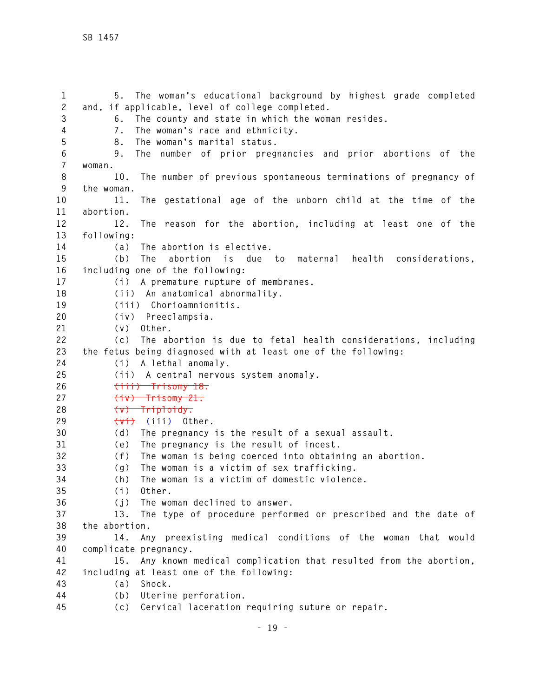**1 5. The woman's educational background by highest grade completed 2 and, if applicable, level of college completed. 3 6. The county and state in which the woman resides. 4 7. The woman's race and ethnicity. 5 8. The woman's marital status. 6 9. The number of prior pregnancies and prior abortions of the 7 woman. 8 10. The number of previous spontaneous terminations of pregnancy of 9 the woman. 10 11. The gestational age of the unborn child at the time of the 11 abortion. 12 12. The reason for the abortion, including at least one of the 13 following: 14 (a) The abortion is elective. 15 (b) The abortion is due to maternal health considerations, 16 including one of the following: 17 (i) A premature rupture of membranes. 18 (ii) An anatomical abnormality. 19 (iii) Chorioamnionitis. 20 (iv) Preeclampsia. 21 (v) Other. 22 (c) The abortion is due to fetal health considerations, including 23 the fetus being diagnosed with at least one of the following: 24 (i) A lethal anomaly. 25 (ii) A central nervous system anomaly. 26 (iii) Trisomy 18. 27 (iv) Trisomy 21. 28 (v) Triploidy. 29 (vi) (iii) Other. 30 (d) The pregnancy is the result of a sexual assault. 31 (e) The pregnancy is the result of incest. 32 (f) The woman is being coerced into obtaining an abortion. 33 (g) The woman is a victim of sex trafficking. 34 (h) The woman is a victim of domestic violence. 35 (i) Other. 36 (j) The woman declined to answer. 37 13. The type of procedure performed or prescribed and the date of 38 the abortion. 39 14. Any preexisting medical conditions of the woman that would 40 complicate pregnancy. 41 15. Any known medical complication that resulted from the abortion, 42 including at least one of the following: 43 (a) Shock. 44 (b) Uterine perforation. 45 (c) Cervical laceration requiring suture or repair.**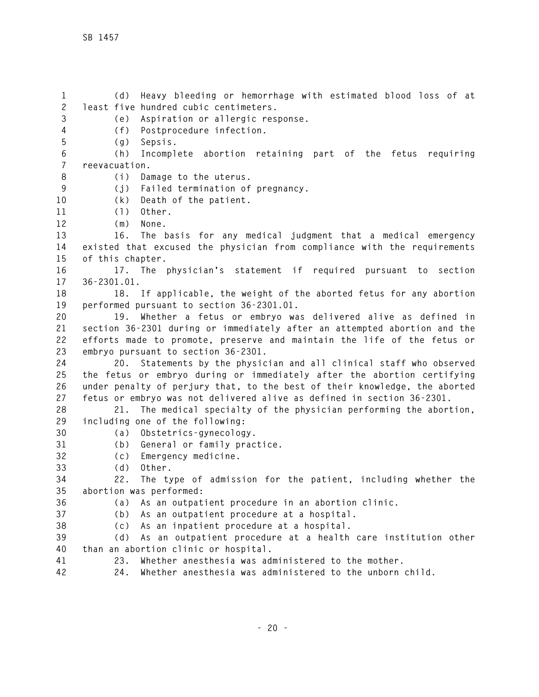**1 (d) Heavy bleeding or hemorrhage with estimated blood loss of at 2 least five hundred cubic centimeters. 3 (e) Aspiration or allergic response. 4 (f) Postprocedure infection. 5 (g) Sepsis. 6 (h) Incomplete abortion retaining part of the fetus requiring 7 reevacuation. 8 (i) Damage to the uterus. 9 (j) Failed termination of pregnancy. 10 (k) Death of the patient. 11 (l) Other. 12 (m) None. 13 16. The basis for any medical judgment that a medical emergency 14 existed that excused the physician from compliance with the requirements 15 of this chapter. 16 17. The physician's statement if required pursuant to section 17 36-2301.01. 18 18. If applicable, the weight of the aborted fetus for any abortion 19 performed pursuant to section 36-2301.01. 20 19. Whether a fetus or embryo was delivered alive as defined in 21 section 36-2301 during or immediately after an attempted abortion and the 22 efforts made to promote, preserve and maintain the life of the fetus or 23 embryo pursuant to section 36-2301. 24 20. Statements by the physician and all clinical staff who observed 25 the fetus or embryo during or immediately after the abortion certifying 26 under penalty of perjury that, to the best of their knowledge, the aborted 27 fetus or embryo was not delivered alive as defined in section 36-2301. 28 21. The medical specialty of the physician performing the abortion, 29 including one of the following: 30 (a) Obstetrics-gynecology. 31 (b) General or family practice. 32 (c) Emergency medicine. 33 (d) Other. 34 22. The type of admission for the patient, including whether the 35 abortion was performed: 36 (a) As an outpatient procedure in an abortion clinic. 37 (b) As an outpatient procedure at a hospital. 38 (c) As an inpatient procedure at a hospital. 39 (d) As an outpatient procedure at a health care institution other 40 than an abortion clinic or hospital. 41 23. Whether anesthesia was administered to the mother. 42 24. Whether anesthesia was administered to the unborn child.**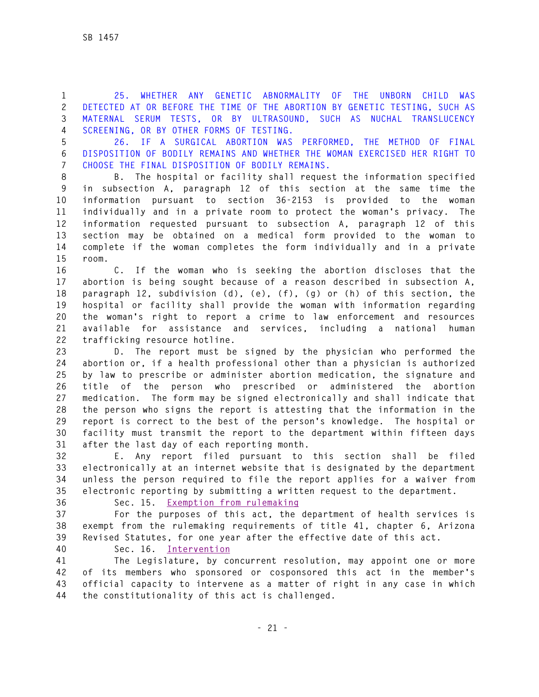**1 25. WHETHER ANY GENETIC ABNORMALITY OF THE UNBORN CHILD WAS 2 DETECTED AT OR BEFORE THE TIME OF THE ABORTION BY GENETIC TESTING, SUCH AS 3 MATERNAL SERUM TESTS, OR BY ULTRASOUND, SUCH AS NUCHAL TRANSLUCENCY 4 SCREENING, OR BY OTHER FORMS OF TESTING.** 

**5 26. IF A SURGICAL ABORTION WAS PERFORMED, THE METHOD OF FINAL 6 DISPOSITION OF BODILY REMAINS AND WHETHER THE WOMAN EXERCISED HER RIGHT TO 7 CHOOSE THE FINAL DISPOSITION OF BODILY REMAINS.** 

**8 B. The hospital or facility shall request the information specified 9 in subsection A, paragraph 12 of this section at the same time the 10 information pursuant to section 36-2153 is provided to the woman 11 individually and in a private room to protect the woman's privacy. The 12 information requested pursuant to subsection A, paragraph 12 of this 13 section may be obtained on a medical form provided to the woman to 14 complete if the woman completes the form individually and in a private 15 room.** 

**16 C. If the woman who is seeking the abortion discloses that the 17 abortion is being sought because of a reason described in subsection A, 18 paragraph 12, subdivision (d), (e), (f), (g) or (h) of this section, the 19 hospital or facility shall provide the woman with information regarding 20 the woman's right to report a crime to law enforcement and resources 21 available for assistance and services, including a national human 22 trafficking resource hotline.** 

**23 D. The report must be signed by the physician who performed the 24 abortion or, if a health professional other than a physician is authorized 25 by law to prescribe or administer abortion medication, the signature and 26 title of the person who prescribed or administered the abortion 27 medication. The form may be signed electronically and shall indicate that 28 the person who signs the report is attesting that the information in the 29 report is correct to the best of the person's knowledge. The hospital or 30 facility must transmit the report to the department within fifteen days 31 after the last day of each reporting month.** 

**32 E. Any report filed pursuant to this section shall be filed 33 electronically at an internet website that is designated by the department 34 unless the person required to file the report applies for a waiver from 35 electronic reporting by submitting a written request to the department.** 

**36 Sec. 15. Exemption from rulemaking**

**37 For the purposes of this act, the department of health services is 38 exempt from the rulemaking requirements of title 41, chapter 6, Arizona 39 Revised Statutes, for one year after the effective date of this act.** 

**40 Sec. 16. Intervention**

**41 The Legislature, by concurrent resolution, may appoint one or more 42 of its members who sponsored or cosponsored this act in the member's 43 official capacity to intervene as a matter of right in any case in which 44 the constitutionality of this act is challenged.**